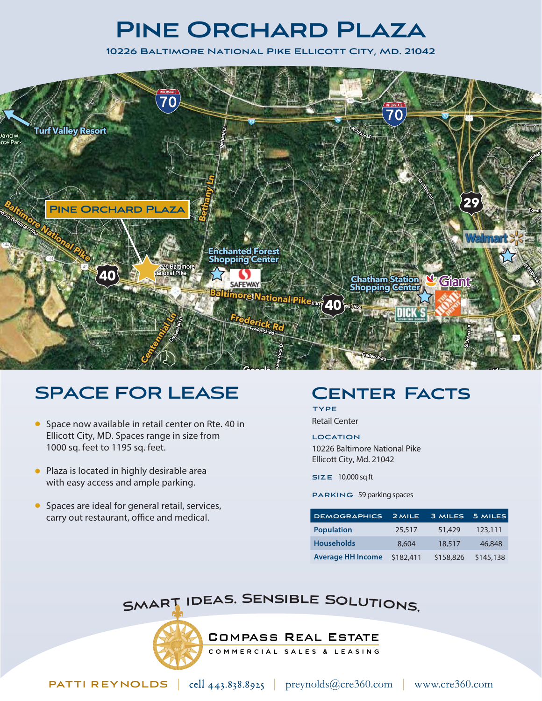## **Pine Orchard Plaza**

**10226 Baltimore National Pike Ellicott City, Md. 21042**



### **SPACE FOR LEASE**

- Space now available in retail center on Rte. 40 in Ellicott City, MD. Spaces range in size from 1000 sq. feet to 1195 sq. feet.
- Plaza is located in highly desirable area with easy access and ample parking.
- **Spaces are ideal for general retail, services,** carry out restaurant, office and medical.

#### **Center Facts**

**TYPE**  Retail Center

**LOCATION**  10226 Baltimore National Pike Ellicott City, Md. 21042

**SIZE** 10,000 sq ft

**PARKING** 59 parking spaces

| <b>DEMOGRAPHICS</b>      | 2 MILE    | 3 MILES   | 5 MILES   |
|--------------------------|-----------|-----------|-----------|
| <b>Population</b>        | 25,517    | 51,429    | 123,111   |
| <b>Households</b>        | 8,604     | 18,517    | 46,848    |
| <b>Average HH Income</b> | \$182,411 | \$158,826 | \$145,138 |

#### SMART IDEAS. SENSIBLE SOLUTIONS.

**COMPASS REAL ESTATE** 

COMMERCIAL SALES & LEASING